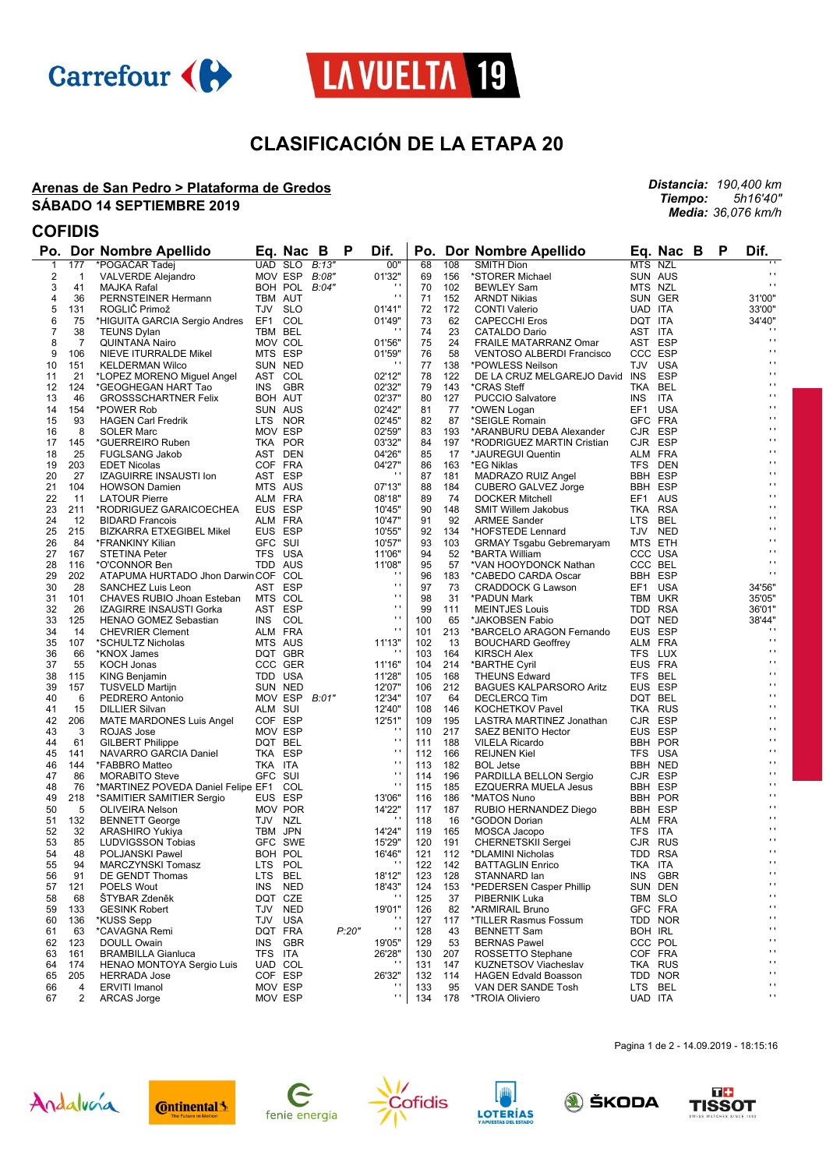



## **CLASIFICACIÓN DE LA ETAPA 20**

#### **Arenas de San Pedro > Plataforma de Gredos SÁBADO 14 SEPTIEMBRE 2019**

*Distancia: 190,400 km Tiempo: 5h16'40" Media: 36,076 km/h*

## **COFIDIS**

| Po.            |                | Dor Nombre Apellido                    | Eq.     | Nac           | B     | P     | Dif.                   | Po. |     | Dor Nombre Apellido              |                | Eq. Nac    | - B | P | Dif.              |
|----------------|----------------|----------------------------------------|---------|---------------|-------|-------|------------------------|-----|-----|----------------------------------|----------------|------------|-----|---|-------------------|
| $\mathbf{1}$   | 177            | *POGAČAR Tadej                         |         | UAD SLO       | B:13" |       | 00"                    | 68  | 108 | <b>SMITH Dion</b>                | MTS NZL        |            |     |   |                   |
| $\overline{2}$ | 1              | <b>VALVERDE Alejandro</b>              |         | MOV ESP       | B:08" |       | 01'32"                 | 69  | 156 | *STORER Michael                  | SUN AUS        |            |     |   | $\mathbf{r}$      |
| 3              | 41             | MAJKA Rafal                            |         | BOH POL B:04" |       |       |                        | 70  | 102 | <b>BEWLEY Sam</b>                | MTS NZL        |            |     |   | $\mathbf{r}$      |
| 4              | 36             | PERNSTEINER Hermann                    | TBM AUT |               |       |       | $\mathbf{r}$           | 71  | 152 | <b>ARNDT Nikias</b>              |                | SUN GER    |     |   | 31'00"            |
| 5              | 131            | ROGLIĆ Primož                          | TJV SLO |               |       |       | 01'41"                 | 72  | 172 | <b>CONTI Valerio</b>             | UAD ITA        |            |     |   | 33'00"            |
| 6              | 75             | *HIGUITA GARCIA Sergio Andres          | EF1 COL |               |       |       | 01'49"                 | 73  | 62  | <b>CAPECCHI Eros</b>             | DQT ITA        |            |     |   | 34'40"            |
| 7              | 38             | <b>TEUNS Dylan</b>                     | TBM BEL |               |       |       | $\cdots$               | 74  | 23  | <b>CATALDO Dario</b>             | AST ITA        |            |     |   | $\cdot$           |
| 8              | $\overline{7}$ | QUINTANA Nairo                         | MOV COL |               |       |       | 01'56"                 | 75  | 24  | FRAILE MATARRANZ Omar            | AST ESP        |            |     |   | $\sim$            |
| 9              | 106            |                                        | MTS ESP |               |       |       | 01'59"                 | 76  | 58  |                                  | CCC ESP        |            |     |   | $\mathbf{r}$      |
|                |                | NIEVE ITURRALDE Mikel                  |         | SUN NED       |       |       | $\cdots$               | 77  | 138 | <b>VENTOSO ALBERDI Francisco</b> | TJV USA        |            |     |   | $\mathbf{r}$      |
| 10             | 151            | <b>KELDERMAN Wilco</b>                 |         |               |       |       |                        |     |     | *POWLESS Neilson                 |                |            |     |   | $\mathbf{r}$      |
| 11             | 21             | *LOPEZ MORENO Miguel Angel             | AST COL |               |       |       | 02'12"                 | 78  | 122 | DE LA CRUZ MELGAREJO David INS   |                | <b>ESP</b> |     |   | $\mathbf{r}$      |
| 12             | 124            | *GEOGHEGAN HART Tao                    |         | INS GBR       |       |       | 02'32"                 | 79  | 143 | *CRAS Steff                      | TKA BEL        |            |     |   | $\mathbf{r}$      |
| 13             | 46             | <b>GROSSSCHARTNER Felix</b>            | BOH AUT |               |       |       | 02'37"                 | 80  | 127 | PUCCIO Salvatore                 | INS ITA        |            |     |   | $\mathbf{r}$      |
| 14             | 154            | *POWER Rob                             | SUN AUS |               |       |       | 02'42"                 | 81  | 77  | *OWEN Logan                      | EF1            | USA        |     |   | $\mathbf{r}$      |
| 15             | 93             | <b>HAGEN Carl Fredrik</b>              |         | LTS NOR       |       |       | 02'45"                 | 82  | 87  | *SEIGLE Romain                   | GFC FRA        |            |     |   |                   |
| 16             | 8              | <b>SOLER Marc</b>                      | MOV ESP |               |       |       | 02'59"                 | 83  | 193 | *ARANBURU DEBA Alexander         | CJR ESP        |            |     |   | $\mathbf{r}$      |
| 17             | 145            | *GUERREIRO Ruben                       |         | TKA POR       |       |       | 03'32"                 | 84  | 197 | *RODRIGUEZ MARTIN Cristian       | CJR ESP        |            |     |   | $\mathbf{r}$      |
| 18             | 25             | <b>FUGLSANG Jakob</b>                  |         | AST DEN       |       |       | 04'26"                 | 85  | 17  | *JAUREGUI Quentin                | ALM FRA        |            |     |   | $\mathbf{r}$      |
| 19             | 203            | <b>EDET Nicolas</b>                    | COF FRA |               |       |       | 04'27"                 | 86  | 163 | *EG Niklas                       | TFS DEN        |            |     |   | $\mathbf{r}$      |
| 20             | 27             | IZAGUIRRE INSAUSTI Ion                 | AST ESP |               |       |       | $\cdot$                | 87  | 181 | MADRAZO RUIZ Angel               | <b>BBH ESP</b> |            |     |   | $\mathbf{r}$      |
| 21             | 104            | <b>HOWSON Damien</b>                   | MTS AUS |               |       |       | 07'13"                 | 88  | 184 | CUBERO GALVEZ Jorge              | <b>BBH ESP</b> |            |     |   | $\mathbf{r}$      |
| 22             | 11             | <b>LATOUR Pierre</b>                   | ALM FRA |               |       |       | 08'18"                 | 89  | 74  | <b>DOCKER Mitchell</b>           | EF1 AUS        |            |     |   | $\mathbf{r}$      |
| 23             | 211            | *RODRIGUEZ GARAICOECHEA                | EUS ESP |               |       |       | 10'45"                 | 90  | 148 | <b>SMIT Willem Jakobus</b>       | TKA RSA        |            |     |   | $\mathbf{r}$      |
| 24             | 12             | <b>BIDARD Francois</b>                 | ALM FRA |               |       |       | 10'47"                 | 91  | 92  | <b>ARMEE Sander</b>              | LTS            | BEL        |     |   | $\mathbf{r}$      |
| 25             | 215            | <b>BIZKARRA ETXEGIBEL Mikel</b>        | EUS ESP |               |       |       | 10'55"                 | 92  | 134 | *HOFSTEDE Lennard                | TJV NED        |            |     |   | $\mathbf{r}$      |
| 26             | 84             | *FRANKINY Kilian                       | GFC SUI |               |       |       | 10'57"                 | 93  | 103 | <b>GRMAY Tsgabu Gebremaryam</b>  | MTS ETH        |            |     |   | $\mathbf{r}$      |
| 27             | 167            | <b>STETINA Peter</b>                   | TFS USA |               |       |       | 11'06"                 | 94  | 52  | *BARTA William                   | CCC USA        |            |     |   | $\mathbf{r}$      |
| 28             | 116            | *O'CONNOR Ben                          | TDD AUS |               |       |       | 11'08"                 | 95  | 57  | *VAN HOOYDONCK Nathan            | CCC BEL        |            |     |   | $\mathbf{r}$      |
| 29             | 202            | ATAPUMA HURTADO Jhon Darwin COF COL    |         |               |       |       | $\cdot$                | 96  | 183 | *CABEDO CARDA Oscar              | <b>BBH ESP</b> |            |     |   | $\mathbf{r}$      |
| 30             | 28             | SANCHEZ Luis Leon                      | AST ESP |               |       |       | $\mathbf{r}$           | 97  | 73  | <b>CRADDOCK G Lawson</b>         | EF1 USA        |            |     |   | 34'56"            |
| 31             | 101            | CHAVES RUBIO Jhoan Esteban MTS COL     |         |               |       |       | $\mathbf{r}$           | 98  | 31  | *PADUN Mark                      |                | TBM UKR    |     |   | 35'05"            |
|                |                |                                        |         |               |       |       | $\mathbf{r}$           |     |     |                                  |                |            |     |   |                   |
| 32             | 26             | IZAGIRRE INSAUSTI Gorka                | AST ESP |               |       |       | $\mathbf{r}$           | 99  | 111 | <b>MEINTJES Louis</b>            | TDD RSA        |            |     |   | 36'01"            |
| 33             | 125            | <b>HENAO GOMEZ Sebastian</b>           | INS COL |               |       |       | $\mathbf{r}$           | 100 | 65  | *JAKOBSEN Fabio                  | DQT NED        |            |     |   | 38'44"<br>$\cdot$ |
| 34             | 14             | <b>CHEVRIER Clement</b>                | ALM FRA |               |       |       |                        | 101 | 213 | *BARCELO ARAGON Fernando         | EUS ESP        |            |     |   | $\sim$            |
| 35             | 107            | *SCHULTZ Nicholas                      | MTS AUS |               |       |       | 11'13"                 | 102 | 13  | <b>BOUCHARD Geoffrey</b>         | ALM FRA        |            |     |   | $\mathbf{r}$      |
| 36             | 66             | *KNOX James                            |         | DQT GBR       |       |       |                        | 103 | 164 | <b>KIRSCH Alex</b>               | TFS LUX        |            |     |   | $\mathbf{r}$      |
| 37             | 55             | <b>KOCH Jonas</b>                      |         | CCC GER       |       |       | 11'16"                 | 104 | 214 | *BARTHE Cyril                    | EUS FRA        |            |     |   |                   |
| 38             | 115            | <b>KING Benjamin</b>                   | TDD USA |               |       |       | 11'28"                 | 105 | 168 | <b>THEUNS Edward</b>             | <b>TFS</b>     | BEL        |     |   | $\mathbf{r}$      |
| 39             | 157            | <b>TUSVELD Martijn</b>                 | SUN NED |               |       |       | 12'07"                 | 106 | 212 | <b>BAGUES KALPARSORO Aritz</b>   | EUS ESP        |            |     |   | $\mathbf{r}$      |
| 40             | 6              | PEDRERO Antonio                        |         | MOV ESP       | B:01" |       | 12'34"                 | 107 | 64  | <b>DECLERCQ Tim</b>              | DQT BEL        |            |     |   | $\mathbf{r}$      |
| 41             | 15             | <b>DILLIER Silvan</b>                  | ALM SUI |               |       |       | 12'40"                 | 108 | 146 | <b>KOCHETKOV Pavel</b>           | TKA RUS        |            |     |   | $\mathbf{r}$      |
| 42             | 206            | MATE MARDONES Luis Angel               | COF ESP |               |       |       | 12'51"                 | 109 | 195 | LASTRA MARTINEZ Jonathan         | CJR ESP        |            |     |   | $\mathbf{r}$      |
| 43             | 3              | ROJAS Jose                             | MOV ESP |               |       |       | $\blacksquare$         | 110 | 217 | SAEZ BENITO Hector               | EUS ESP        |            |     |   | $\mathbf{r}$      |
| 44             | 61             | <b>GILBERT Philippe</b>                | DQT BEL |               |       |       | $\cdot$                | 111 | 188 | <b>VILELA Ricardo</b>            |                | BBH POR    |     |   | $\mathbf{r}$      |
| 45             | 141            | NAVARRO GARCIA Daniel                  | TKA ESP |               |       |       | $\pm$                  | 112 | 166 | <b>REIJNEN Kiel</b>              | TFS USA        |            |     |   | $\mathbf{r}$      |
| 46             | 144            | *FABBRO Matteo                         | TKA ITA |               |       |       | $\mathbf{r}$           | 113 | 182 | <b>BOL Jetse</b>                 | BBH NED        |            |     |   | $\mathbf{r}$      |
| 47             | 86             | <b>MORABITO Steve</b>                  | GFC SUI |               |       |       | $\mathbf{r}$           | 114 | 196 | PARDILLA BELLON Sergio           | CJR ESP        |            |     |   | $\mathbf{r}$      |
| 48             | 76             | *MARTINEZ POVEDA Daniel Felipe EF1 COL |         |               |       |       | $\mathbf{r}$           | 115 | 185 | <b>EZQUERRA MUELA Jesus</b>      | BBH ESP        |            |     |   | $\mathbf{r}$      |
| 49             | 218            | *SAMITIER SAMITIER Sergio              | EUS ESP |               |       |       | 13'06"                 | 116 | 186 | *MATOS Nuno                      |                | BBH POR    |     |   | $\mathbf{r}$      |
| 50             | 5              | <b>OLIVEIRA Nelson</b>                 |         | MOV POR       |       |       | 14'22"                 | 117 | 187 | RUBIO HERNANDEZ Diego            | BBH ESP        |            |     |   | $\mathbf{r}$      |
| 51             | 132            | <b>BENNETT George</b>                  | TJV NZL |               |       |       |                        | 118 | 16  | *GODON Dorian                    | ALM FRA        |            |     |   | $\mathbf{r}$      |
| 52             | 32             | <b>ARASHIRO Yukiya</b>                 | TBM JPN |               |       |       | 14'24"                 | 119 | 165 | MOSCA Jacopo                     | TFS ITA        |            |     |   | $\mathbf{r}$      |
| 53             | 85             | LUDVIGSSON Tobias                      |         | GFC SWE       |       |       | 15'29"                 | 120 | 191 | CHERNETSKII Sergei               | CJR RUS        |            |     |   | $\mathbf{r}$      |
| 54             | 48             | POLJANSKI Pawel                        | BOH POL |               |       |       | 16'46"                 | 121 | 112 | *DLAMINI Nicholas                | TDD RSA        |            |     |   | $\mathbf{r}$      |
| 55             | 94             | MARCZYNSKI Tomasz                      |         |               |       |       | $\cdots$               | 122 | 142 |                                  |                |            |     |   | $\sim$            |
|                |                |                                        | LTS POL | <b>BEL</b>    |       |       | 18'12"                 |     |     | <b>BATTAGLIN Enrico</b>          | TKA ITA        | <b>GBR</b> |     |   | $\mathbf{r}$      |
| 56             | 91             | DE GENDT Thomas                        | LTS     |               |       |       |                        | 123 | 128 | STANNARD lan                     | INS            |            |     |   | $\mathbf{r}$      |
| 57             | 121            | POELS Wout                             | INS     | <b>NED</b>    |       |       | 18'43"<br>$\mathbf{r}$ | 124 | 153 | *PEDERSEN Casper Phillip         |                | SUN DEN    |     |   | $\mathbf{r}$      |
| 58             | 68             | <b>STYBAR Zdeněk</b>                   | DQT CZE |               |       |       |                        | 125 | 37  | PIBERNIK Luka                    | TBM SLO        |            |     |   | $\blacksquare$    |
| 59             | 133            | <b>GESINK Robert</b>                   | TJV     | NED           |       |       | 19'01"                 | 126 | 82  | *ARMIRAIL Bruno                  | GFC FRA        |            |     |   | $\mathbf{r}$      |
| 60             | 136            | *KUSS Sepp                             | TJV     | USA           |       |       | $\cdot$                | 127 | 117 | *TILLER Rasmus Fossum            |                | TDD NOR    |     |   |                   |
| 61             | 63             | *CAVAGNA Remi                          | DQT FRA |               |       | P:20" | $\mathbf{r}$           | 128 | 43  | <b>BENNETT Sam</b>               | BOH IRL        |            |     |   | $\mathbf{r}$      |
| 62             | 123            | DOULL Owain                            | INS     | <b>GBR</b>    |       |       | 19'05"                 | 129 | 53  | <b>BERNAS Pawel</b>              | CCC POL        |            |     |   | $\mathbf{r}$      |
| 63             | 161            | <b>BRAMBILLA Gianluca</b>              | TFS ITA |               |       |       | 26'28"                 | 130 | 207 | ROSSETTO Stephane                | COF FRA        |            |     |   | $\mathbf{r}$      |
| 64             | 174            | HENAO MONTOYA Sergio Luis              |         | UAD COL       |       |       | $\cdots$               | 131 | 147 | <b>KUZNETSOV Viacheslav</b>      |                | TKA RUS    |     |   | $\mathbf{r}$      |
| 65             | 205            | <b>HERRADA Jose</b>                    |         | COF ESP       |       |       | 26'32"                 | 132 | 114 | <b>HAGEN Edvald Boasson</b>      |                | TDD NOR    |     |   | $\blacksquare$    |
| 66             | 4              | <b>ERVITI Imanol</b>                   | MOV ESP |               |       |       | $\mathbf{H}$           | 133 | 95  | VAN DER SANDE Tosh               | LTS BEL        |            |     |   | $\mathbf{r}$      |
| 67             | $\overline{2}$ | <b>ARCAS Jorge</b>                     | MOV ESP |               |       |       | $\mathbf{r}$           | 134 | 178 | *TROIA Oliviero                  | UAD ITA        |            |     |   | $\mathbf{r}$      |















Pagina 1 de 2 - 14.09.2019 - 18:15:16